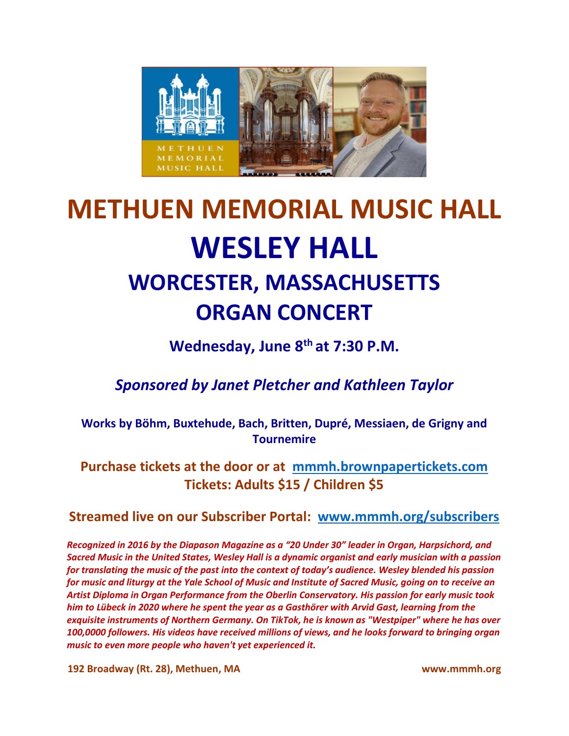

## **METHUEN MEMORIAL MUSIC HALL WESLEY HALL WORCESTER, MASSACHUSETTS ORGAN CONCERT**

**Wednesday, June 8 th at 7:30 P.M.**

*Sponsored by Janet Pletcher and Kathleen Taylor*

**Works by Böhm, Buxtehude, Bach, Britten, Dupré, Messiaen, de Grigny and Tournemire**

**Purchase tickets at the door or at [mmmh.brownpapertickets.com](http://mmmh.brownpapertickets.com/) Tickets: Adults \$15 / Children \$5**

**Streamed live on our Subscriber Portal: [www.mmmh.org/subscribers](http://www.mmmh.org/subscribers)**

*Recognized in 2016 by the Diapason Magazine as a "20 Under 30" leader in Organ, Harpsichord, and Sacred Music in the United States, Wesley Hall is a dynamic organist and early musician with a passion for translating the music of the past into the context of today's audience. Wesley blended his passion for music and liturgy at the Yale School of Music and Institute of Sacred Music, going on to receive an Artist Diploma in Organ Performance from the Oberlin Conservatory. His passion for early music took him to Lübeck in 2020 where he spent the year as a Gasthörer with Arvid Gast, learning from the exquisite instruments of Northern Germany. On TikTok, he is known as "Westpiper" where he has over 100,0000 followers. His videos have received millions of views, and he looks forward to bringing organ music to even more people who haven't yet experienced it.*

**192 Broadway (Rt. 28), Methuen, MA www.mmmh.org**